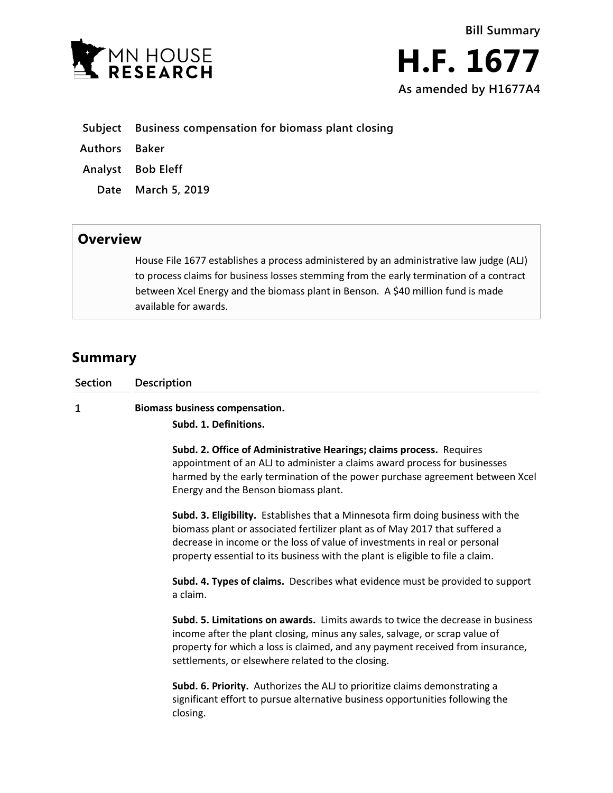



|  |  | Subject Business compensation for biomass plant closing |  |  |  |  |
|--|--|---------------------------------------------------------|--|--|--|--|
|--|--|---------------------------------------------------------|--|--|--|--|

**Authors Baker**

**Analyst Bob Eleff**

**Date March 5, 2019**

## **Overview**

House File 1677 establishes a process administered by an administrative law judge (ALJ) to process claims for business losses stemming from the early termination of a contract between Xcel Energy and the biomass plant in Benson. A \$40 million fund is made available for awards.

## **Summary**

| Section | Description                                                                                                                                                                                                                                                                                                                    |  |  |  |  |  |
|---------|--------------------------------------------------------------------------------------------------------------------------------------------------------------------------------------------------------------------------------------------------------------------------------------------------------------------------------|--|--|--|--|--|
| 1       | <b>Biomass business compensation.</b><br>Subd. 1. Definitions.                                                                                                                                                                                                                                                                 |  |  |  |  |  |
|         | Subd. 2. Office of Administrative Hearings; claims process. Requires<br>appointment of an ALJ to administer a claims award process for businesses<br>harmed by the early termination of the power purchase agreement between Xcel<br>Energy and the Benson biomass plant.                                                      |  |  |  |  |  |
|         | Subd. 3. Eligibility. Establishes that a Minnesota firm doing business with the<br>biomass plant or associated fertilizer plant as of May 2017 that suffered a<br>decrease in income or the loss of value of investments in real or personal<br>property essential to its business with the plant is eligible to file a claim. |  |  |  |  |  |
|         | Subd. 4. Types of claims. Describes what evidence must be provided to support<br>a claim.                                                                                                                                                                                                                                      |  |  |  |  |  |
|         | Subd. 5. Limitations on awards. Limits awards to twice the decrease in business<br>income after the plant closing, minus any sales, salvage, or scrap value of<br>property for which a loss is claimed, and any payment received from insurance,<br>settlements, or elsewhere related to the closing.                          |  |  |  |  |  |
|         | Subd. 6. Priority. Authorizes the ALJ to prioritize claims demonstrating a<br>significant effort to pursue alternative business opportunities following the<br>closing.                                                                                                                                                        |  |  |  |  |  |
|         |                                                                                                                                                                                                                                                                                                                                |  |  |  |  |  |